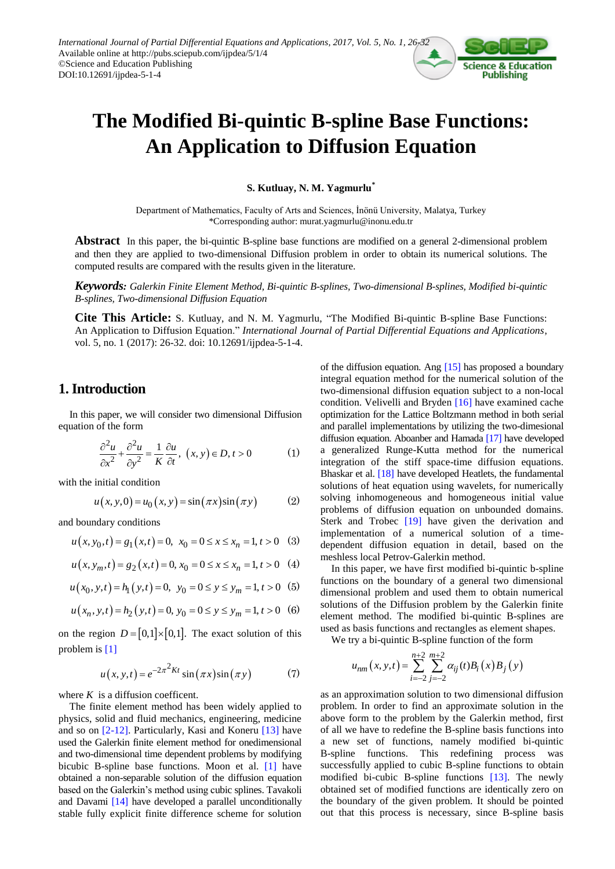

# **The Modified Bi-quintic B-spline Base Functions: An Application to Diffusion Equation**

**S. Kutluay, N. M. Yagmurlu\***

Department of Mathematics, Faculty of Arts and Sciences, İnönü University, Malatya, Turkey \*Corresponding author: murat.yagmurlu@inonu.edu.tr

**Abstract** In this paper, the bi-quintic B-spline base functions are modified on a general 2-dimensional problem and then they are applied to two-dimensional Diffusion problem in order to obtain its numerical solutions. The computed results are compared with the results given in the literature.

*Keywords: Galerkin Finite Element Method, Bi-quintic B-splines, Two-dimensional B-splines, Modified bi-quintic B-splines, Two-dimensional Diffusion Equation*

**Cite This Article:** S. Kutluay, and N. M. Yagmurlu, "The Modified Bi-quintic B-spline Base Functions: An Application to Diffusion Equation." *International Journal of Partial Differential Equations and Applications*, vol. 5, no. 1 (2017): 26-32. doi: 10.12691/ijpdea-5-1-4.

# **1. Introduction**

In this paper, we will consider two dimensional Diffusion equation of the form

$$
\frac{\partial^2 u}{\partial x^2} + \frac{\partial^2 u}{\partial y^2} = \frac{1}{K} \frac{\partial u}{\partial t}, \ (x, y) \in D, t > 0 \tag{1}
$$

with the initial condition

$$
u(x, y, 0) = u_0(x, y) = \sin(\pi x)\sin(\pi y)
$$
 (2)

and boundary conditions  

$$
u(x, y_0, t) = g_1(x, t) = 0, x_0 = 0 \le x \le x_n = 1, t > 0
$$
 (3)

$$
u(x, y_0, t) - s_1(x, t) - 0, x_0 - 0 \le x \le x_n - 1, t > 0
$$
 (3)  

$$
u(x, y_m, t) = g_2(x, t) = 0, x_0 = 0 \le x \le x_n = 1, t > 0
$$
 (4)

$$
u(x, y_m, t) - 82(x, t) - 0, x_0 - 0 \le x \le x_n - 1, t > 0
$$
 (4)  

$$
u(x_0, y, t) = h_1(y, t) = 0, y_0 = 0 \le y \le y_m = 1, t > 0
$$
 (5)

$$
u(x_0, y, t) = h_1(y, t) = 0, \ y_0 = 0 \le y \le y_m = 1, t > 0
$$
 (6)  

$$
u(x_n, y, t) = h_2(y, t) = 0, \ y_0 = 0 \le y \le y_m = 1, t > 0
$$
 (6)

on the region  $D = [0,1] \times [0,1]$ . The exact solution of this problem is [\[1\]](#page-6-0)

$$
u(x, y, t) = e^{-2\pi^2 Kt} \sin(\pi x) \sin(\pi y)
$$
 (7)

where  $K$  is a diffusion coefficent.

The finite element method has been widely applied to physics, solid and fluid mechanics, engineering, medicine and so on [\[2-12\].](#page-6-1) Particularly, Kasi and Koneru [\[13\]](#page-6-2) have used the Galerkin finite element method for onedimensional and two-dimensional time dependent problems by modifying bicubic B-spline base functions. Moon et al. [\[1\]](#page-6-0) have obtained a non-separable solution of the diffusion equation based on the Galerkin's method using cubic splines. Tavakoli and Davami [\[14\]](#page-6-3) have developed a parallel unconditionally stable fully explicit finite difference scheme for solution

of the diffusion equation. Ang [\[15\]](#page-6-4) has proposed a boundary integral equation method for the numerical solution of the two-dimensional diffusion equation subject to a non-local condition. Velivelli and Bryden [\[16\]](#page-6-5) have examined cache optimization for the Lattice Boltzmann method in both serial and parallel implementations by utilizing the two-dimesional diffusion equation. Aboanber and Hamad[a \[17\]](#page-6-6) have developed a generalized Runge-Kutta method for the numerical integration of the stiff space-time diffusion equations. Bhaskar et al. [\[18\]](#page-6-7) have developed Heatlets, the fundamental solutions of heat equation using wavelets, for numerically solving inhomogeneous and homogeneous initial value problems of diffusion equation on unbounded domains. Sterk and Trobec [\[19\]](#page-6-8) have given the derivation and implementation of a numerical solution of a timedependent diffusion equation in detail, based on the meshless local Petrov-Galerkin method.

In this paper, we have first modified bi-quintic b-spline functions on the boundary of a general two dimensional dimensional problem and used them to obtain numerical solutions of the Diffusion problem by the Galerkin finite element method. The modified bi-quintic B-splines are used as basis functions and rectangles as element shapes.

We try a bi-quintic B-spline function of the form<br> $\frac{n+2}{2}$   $\frac{m+2}{2}$ 

$$
u_{nm}(x, y, t) = \sum_{i=-2}^{n+2} \sum_{j=-2}^{m+2} \alpha_{ij}(t) B_i(x) B_j(y)
$$

as an approximation solution to two dimensional diffusion problem. In order to find an approximate solution in the above form to the problem by the Galerkin method, first of all we have to redefine the B-spline basis functions into a new set of functions, namely modified bi-quintic B-spline functions. This redefining process was successfully applied to cubic B-spline functions to obtain modified bi-cubic B-spline functions [\[13\].](#page-6-2) The newly obtained set of modified functions are identically zero on the boundary of the given problem. It should be pointed out that this process is necessary, since B-spline basis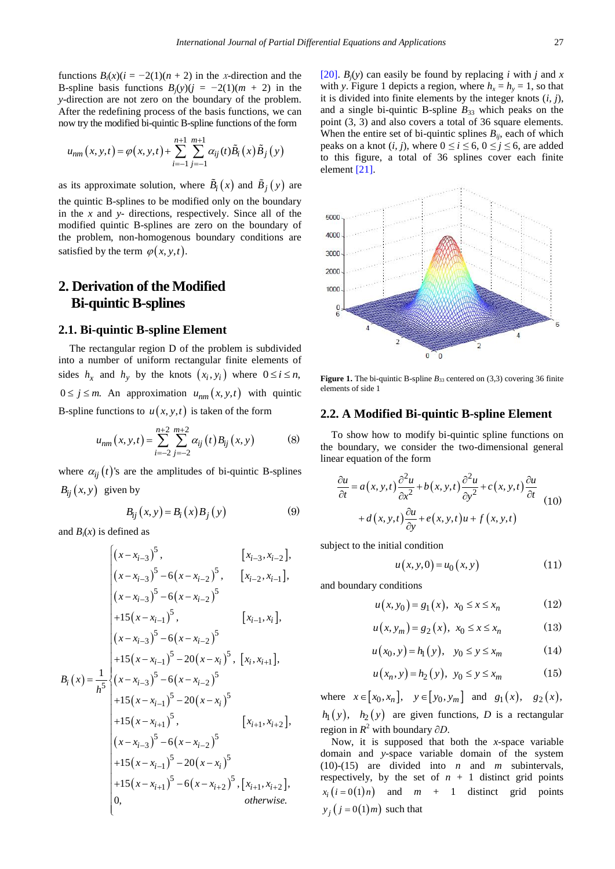functions  $B_i(x)(i = -2(1)(n + 2)$  in the x-direction and the B-spline basis functions  $B_i(y)(j = -2(1)(m + 2)$  in the *y*-direction are not zero on the boundary of the problem. After the redefining process of the basis functions, we can

now try the modified bi-quintic B-spline functions of the form  
\n
$$
u_{nm}(x, y, t) = \varphi(x, y, t) + \sum_{i=-1}^{n+1} \sum_{j=-1}^{m+1} \alpha_{ij}(t) \tilde{B}_i(x) \tilde{B}_j(y)
$$

as its approximate solution, where  $B_i(x)$  and  $B_j(y)$  are the quintic B-splines to be modified only on the boundary in the *x* and *y*- directions, respectively. Since all of the modified quintic B-splines are zero on the boundary of the problem, non-homogenous boundary conditions are satisfied by the term  $\varphi(x, y, t)$ .

## **2. Derivation of the Modified Bi-quintic B-splines**

#### **2.1. Bi-quintic B-spline Element**

The rectangular region D of the problem is subdivided into a number of uniform rectangular finite elements of sides  $h_x$  and  $h_y$  by the knots  $(x_i, y_i)$  where  $0 \le i \le n$ ,  $0 \le j \le m$ . An approximation  $u_{nm}(x, y, t)$  with quintic B-spline functions to  $u(x, y, t)$  is taken of the form

$$
u_{nm}(x, y, t) = \sum_{i=-2}^{n+2} \sum_{j=-2}^{m+2} \alpha_{ij}(t) B_{ij}(x, y)
$$
 (8)

where  $\alpha_{ij}(t)$ 's are the amplitudes of bi-quintic B-splines  $B_{ij}(x, y)$  given by

$$
B_{ij}(x, y) = B_i(x)B_j(y)
$$
 (9)

and  $B_i(x)$  is defined as

and 
$$
B_i(x)
$$
 is defined as  
\n
$$
\begin{cases}\n(x-x_{i-3})^5, & [x_{i-3},x_{i-2}], \\
(x-x_{i-3})^5 - 6(x-x_{i-2})^5, & [x_{i-2},x_{i-1}], \\
(x-x_{i-3})^5 - 6(x-x_{i-2})^5\n\end{cases}
$$
\n
$$
+15(x-x_{i-1})^5, \qquad [x_{i-1},x_i],
$$
\n
$$
B_i(x) = \frac{1}{h^5} \begin{cases}\n(x-x_{i-3})^5 - 6(x-x_{i-2})^5 \\
(x-x_{i-3})^5 - 6(x-x_{i-2})^5 \\
+15(x-x_{i-1})^5 - 20(x-x_i)^5 \\
+15(x-x_{i+1})^5, & [x_{i+1},x_{i+2}], \\
(x-x_{i-3})^5 - 6(x-x_{i-2})^5 \\
+15(x-x_{i-1})^5 - 20(x-x_i)^5 \\
+15(x-x_{i-1})^5 - 6(x-x_{i+2})^5, [x_{i+1},x_{i+2}], \\
0, & \text{otherwise.}\n\end{cases}
$$

[\[20\].](#page-6-9)  $B_i(y)$  can easily be found by replacing *i* with *j* and *x* with *y*. Figure 1 depicts a region, where  $h<sub>x</sub> = h<sub>y</sub> = 1$ , so that it is divided into finite elements by the integer knots (*i, j*), and a single bi-quintic B-spline  $B_{33}$  which peaks on the point (3*,* 3) and also covers a total of 36 square elements. When the entire set of bi-quintic splines  $B_{ii}$ , each of which peaks on a knot  $(i, j)$ , where  $0 \le i \le 6$ ,  $0 \le j \le 6$ , are added to this figure, a total of 36 splines cover each finite element [\[21\].](#page-6-10)



**Figure 1.** The bi-quintic B-spline  $B_{33}$  centered on (3,3) covering 36 finite elements of side 1

#### **2.2. A Modified Bi-quintic B-spline Element**

To show how to modify bi-quintic spline functions on the boundary, we consider the two-dimensional general linear equation of the form

$$
\frac{\partial u}{\partial t} = a(x, y, t) \frac{\partial^2 u}{\partial x^2} + b(x, y, t) \frac{\partial^2 u}{\partial y^2} + c(x, y, t) \frac{\partial u}{\partial t}
$$
  
+  $d(x, y, t) \frac{\partial u}{\partial y} + e(x, y, t) u + f(x, y, t)$  (10)

subject to the initial condition

$$
u(x, y, 0) = u_0(x, y) \tag{11}
$$

and boundary conditions

$$
u(x, y_0) = g_1(x), x_0 \le x \le x_n
$$
 (12)

$$
u(x, y_m) = g_2(x), \ x_0 \le x \le x_n \tag{13}
$$

$$
u(x_0, y) = h_1(y), \quad y_0 \le y \le x_m \tag{14}
$$

$$
u(x_n, y) = h_2(y), \ y_0 \le y \le x_m \tag{15}
$$

where  $x \in [x_0, x_n]$ ,  $y \in [y_0, y_m]$  and  $g_1(x)$ ,  $g_2(x)$ ,  $h_1(y)$ ,  $h_2(y)$  are given functions, *D* is a rectangular region in *R* <sup>2</sup> with boundary *∂D*.

Now, it is supposed that both the *x*-space variable domain and *y*-space variable domain of the system (10)-(15) are divided into *n* and *m* subintervals, respectively, by the set of  $n + 1$  distinct grid points  $x_i(i = 0(1)n)$ and *m* + 1 distinct grid points  $y_j(j=0(1)m)$  such that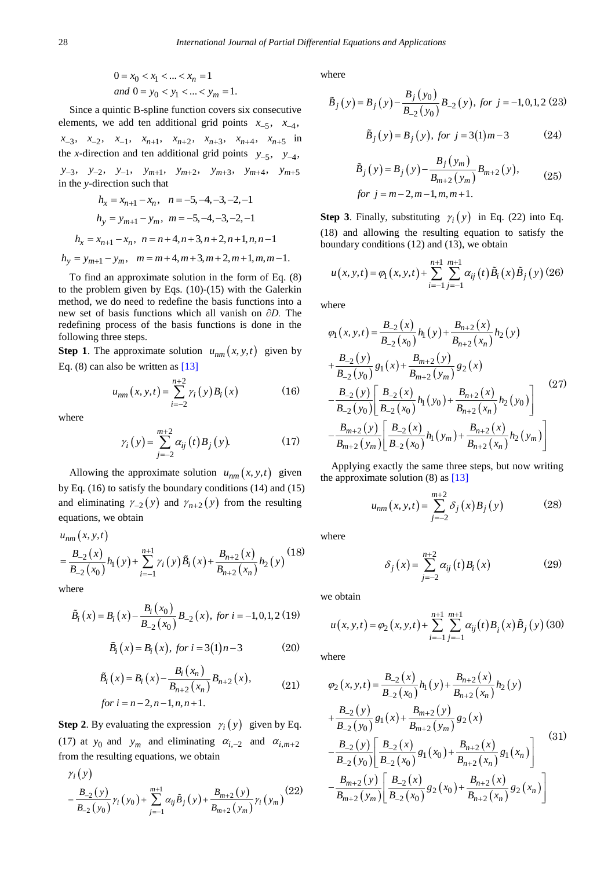$$
0 = x_0 < x_1 < \dots < x_n = 1
$$
\nand

\n
$$
0 = y_0 < y_1 < \dots < y_m = 1.
$$

Since a quintic B-spline function covers six consecutive elements, we add ten additional grid points  $x_{-5}$ ,  $x_{-4}$ ,  $x_{-3}$ ,  $x_{-2}$ ,  $x_{-1}$ ,  $x_{n+1}$ ,  $x_{n+2}$ ,  $x_{n+3}$ ,  $x_{n+4}$ ,  $x_{n+5}$  in the *x*-direction and ten additional grid points  $y_{-5}$ ,  $y_{-4}$ ,  $y_{-3}$ ,  $y_{-2}$ ,  $y_{-1}$ ,  $y_{m+1}$ ,  $y_{m+2}$ ,  $y_{m+3}$ ,  $y_{m+4}$ ,  $y_{m+5}$ 

in the *y*-direction such that

$$
h_x = x_{n+1} - x_n, \quad n = -5, -4, -3, -2, -1
$$
  
\n
$$
h_y = y_{m+1} - y_m, \quad m = -5, -4, -3, -2, -1
$$
  
\n
$$
h_x = x_{n+1} - x_n, \quad n = n+4, n+3, n+2, n+1, n, n-1
$$
  
\n
$$
h_y = y_{m+1} - y_m, \quad m = m+4, m+3, m+2, m+1, m, m-1.
$$

To find an approximate solution in the form of Eq. (8) to the problem given by Eqs.  $(10)-(15)$  with the Galerkin method, we do need to redefine the basis functions into a new set of basis functions which all vanish on *∂D.* The redefining process of the basis functions is done in the following three steps.

**Step 1**. The approximate solution  $u_{nm}(x, y, t)$  given by Eq. (8) can also be written as [\[13\]](#page-6-2)

$$
u_{nm}(x, y, t) = \sum_{i=-2}^{n+2} \gamma_i(y) B_i(x)
$$
 (16)

where

$$
\gamma_i(y) = \sum_{j=-2}^{m+2} \alpha_{ij}(t) B_j(y). \tag{17}
$$

Allowing the approximate solution  $u_{nm}(x, y, t)$  given by Eq. (16) to satisfy the boundary conditions (14) and (15) and eliminating  $\gamma_{-2}(y)$  and  $\gamma_{n+2}(y)$  from the resulting

equations, we obtain  
\n
$$
u_{nm}(x, y, t)
$$
\n
$$
= \frac{B_{-2}(x)}{B_{-2}(x_0)} h_1(y) + \sum_{i=-1}^{n+1} \gamma_i(y) \tilde{B}_i(x) + \frac{B_{n+2}(x)}{B_{n+2}(x_n)} h_2(y)
$$
\n(18)

where

ere  
\n
$$
\tilde{B}_i(x) = B_i(x) - \frac{B_i(x_0)}{B_{-2}(x_0)} B_{-2}(x), \text{ for } i = -1, 0, 1, 2 \text{ (19)}
$$

$$
\tilde{B}_i(x) = B_i(x), \text{ for } i = 3(1)n - 3 \tag{20}
$$

$$
\tilde{B}_{i}(x) = B_{i}(x) - \frac{B_{i}(x_{n})}{B_{n+2}(x_{n})} B_{n+2}(x),
$$
\n*for*  $i = n - 2, n - 1, n, n + 1.$  (21)

**Step 2.** By evaluating the expression  $\gamma_i(y)$  given by Eq. (17) at  $y_0$  and  $y_m$  and eliminating  $\alpha_{i,-2}$  and  $\alpha_{i,m+2}$ from the resulting equations, we obtain

$$
\gamma_i(y) = \frac{B_{-2}(y)}{B_{-2}(y_0)} \gamma_i(y_0) + \sum_{j=-1}^{m+1} \alpha_{ij} \tilde{B}_j(y) + \frac{B_{m+2}(y)}{B_{m+2}(y_m)} \gamma_i(y_m)
$$
(22)

where

where  

$$
\tilde{B}_j(y) = B_j(y) - \frac{B_j(y_0)}{B_{-2}(y_0)} B_{-2}(y), \text{ for } j = -1, 0, 1, 2 \text{ (23)}
$$

$$
\tilde{B}_j(y) = B_j(y), \text{ for } j = 3(1)m - 3
$$
 (24)

$$
\tilde{B}_{j}(y) = B_{j}(y) - \frac{B_{j}(y_{m})}{B_{m+2}(y_{m})} B_{m+2}(y),
$$
\nfor

\n
$$
j = m - 2, m - 1, m, m + 1.
$$
\n(25)

**Step 3**. Finally, substituting  $\gamma_i(y)$  in Eq. (22) into Eq. (18) and allowing the resulting equation to satisfy the

boundary conditions (12) and (13), we obtain  

$$
u(x, y, t) = \varphi_1(x, y, t) + \sum_{i=-1}^{n+1} \sum_{j=-1}^{m+1} \alpha_{ij}(t) \tilde{B}_i(x) \tilde{B}_j(y)
$$
(26)

where

here  
\n
$$
\varphi_1(x, y, t) = \frac{B_{-2}(x)}{B_{-2}(x_0)} h_1(y) + \frac{B_{n+2}(x)}{B_{n+2}(x_n)} h_2(y)
$$
\n
$$
+ \frac{B_{-2}(y)}{B_{-2}(y_0)} g_1(x) + \frac{B_{m+2}(y)}{B_{m+2}(y_m)} g_2(x)
$$
\n
$$
- \frac{B_{-2}(y)}{B_{-2}(y_0)} \left[ \frac{B_{-2}(x)}{B_{-2}(x_0)} h_1(y_0) + \frac{B_{n+2}(x)}{B_{n+2}(x_n)} h_2(y_0) \right]
$$
\n
$$
- \frac{B_{m+2}(y)}{B_{m+2}(y_m)} \left[ \frac{B_{-2}(x)}{B_{-2}(x_0)} h_1(y_m) + \frac{B_{n+2}(x)}{B_{n+2}(x_n)} h_2(y_m) \right]
$$
\n(27)

Applying exactly the same three steps, but now writing the approximate solution (8) as [\[13\]](#page-6-2)

$$
u_{nm}(x, y, t) = \sum_{j=-2}^{m+2} \delta_j(x) B_j(y)
$$
 (28)

where

$$
\delta_j(x) = \sum_{j=-2}^{n+2} \alpha_{ij}(t) B_i(x) \tag{29}
$$

we obtain

e obtain  

$$
u(x, y, t) = \varphi_2(x, y, t) + \sum_{i=-1}^{n+1} \sum_{j=-1}^{m+1} \alpha_{ij}(t) B_i(x) \tilde{B}_j(y)
$$
(30)

where

where  
\n
$$
\varphi_2(x, y, t) = \frac{B_{-2}(x)}{B_{-2}(x_0)} h_1(y) + \frac{B_{n+2}(x)}{B_{n+2}(x_n)} h_2(y)
$$
\n
$$
+ \frac{B_{-2}(y)}{B_{-2}(y_0)} g_1(x) + \frac{B_{m+2}(y)}{B_{m+2}(y_m)} g_2(x)
$$
\n
$$
- \frac{B_{-2}(y)}{B_{-2}(y_0)} \left[ \frac{B_{-2}(x)}{B_{-2}(x_0)} g_1(x_0) + \frac{B_{n+2}(x)}{B_{n+2}(x_n)} g_1(x_n) \right]
$$
\n
$$
- \frac{B_{m+2}(y)}{B_{m+2}(y_m)} \left[ \frac{B_{-2}(x)}{B_{-2}(x_0)} g_2(x_0) + \frac{B_{n+2}(x)}{B_{n+2}(x_n)} g_2(x_n) \right]
$$
\n(31)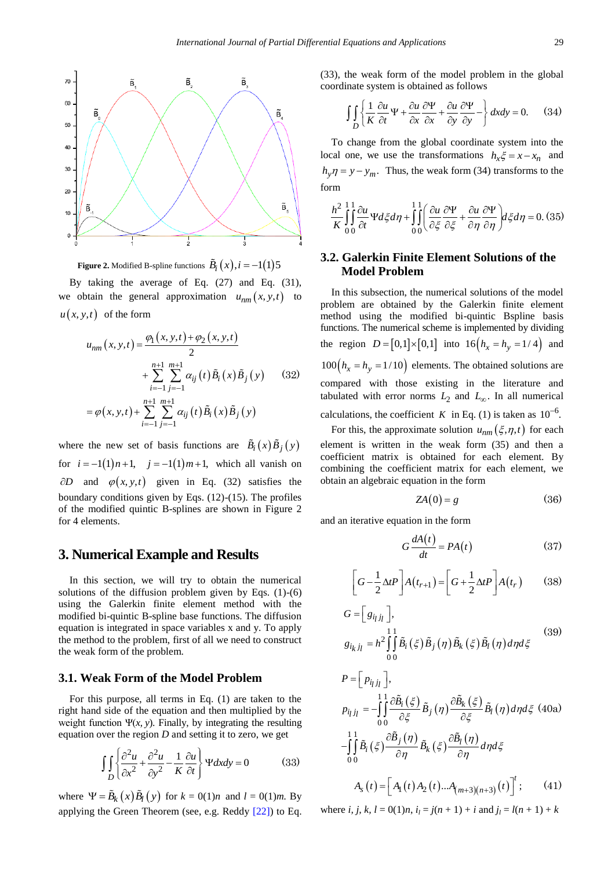

**Figure 2.** Modified B-spline functions  $\tilde{B}_i(x), i = -1(1)5$ 

By taking the average of Eq. (27) and Eq. (31), we obtain the general approximation  $u_{nm}(x, y, t)$  to  $u(x, y, t)$  of the form

$$
u_{nm}(x, y, t) = \frac{\varphi_1(x, y, t) + \varphi_2(x, y, t)}{2}
$$
  
+ 
$$
\sum_{i=-1}^{n+1} \sum_{j=-1}^{m+1} \alpha_{ij}(t) \tilde{B}_i(x) \tilde{B}_j(y)
$$
(32)  
= 
$$
\varphi(x, y, t) + \sum_{i=-1}^{n+1} \sum_{j=-1}^{m+1} \alpha_{ij}(t) \tilde{B}_i(x) \tilde{B}_j(y)
$$

where the new set of basis functions are  $\vec{B}_i(x)\vec{B}_j(y)$ for  $i = -1(1)n + 1$ ,  $j = -1(1)m + 1$ , which all vanish on  $\partial D$  and  $\varphi(x, y, t)$  given in Eq. (32) satisfies the boundary conditions given by Eqs. (12)-(15). The profiles of the modified quintic B-splines are shown in Figure 2 for 4 elements.

## **3. Numerical Example and Results**

In this section, we will try to obtain the numerical solutions of the diffusion problem given by Eqs. (1)-(6) using the Galerkin finite element method with the modified bi-quintic B-spline base functions. The diffusion equation is integrated in space variables x and y. To apply the method to the problem, first of all we need to construct the weak form of the problem.

## **3.1. Weak Form of the Model Problem**

For this purpose, all terms in Eq. (1) are taken to the right hand side of the equation and then multiplied by the weight function  $\Psi(x, y)$ . Finally, by integrating the resulting equation over the region *D* and setting it to zero, we get

$$
\iiint_{D} \left\{ \frac{\partial^2 u}{\partial x^2} + \frac{\partial^2 u}{\partial y^2} - \frac{1}{K} \frac{\partial u}{\partial t} \right\} \Psi dx dy = 0
$$
 (33)

where  $\Psi = \tilde{B}_k(x) \tilde{B}_l(y)$  for  $k = 0(1)n$  and  $l = 0(1)m$ . By applying the Green Theorem (see, e.g. Reddy [\[22\]\)](#page-6-11) to Eq.

(33), the weak form of the model problem in the global coordinate system is obtained as follows

$$
\iint_{D} \left\{ \frac{1}{K} \frac{\partial u}{\partial t} \Psi + \frac{\partial u}{\partial x} \frac{\partial \Psi}{\partial x} + \frac{\partial u}{\partial y} \frac{\partial \Psi}{\partial y} - \right\} dxdy = 0.
$$
 (34)

To change from the global coordinate system into the local one, we use the transformations  $h_x \xi = x - x_n$  and  $h_y \eta = y - y_m$ . Thus, the weak form (34) transforms to the form

m  
\n
$$
\frac{h^2}{K} \int_0^1 \frac{\partial u}{\partial t} \Psi d\xi d\eta + \int_0^1 \int_0^1 \left( \frac{\partial u}{\partial \xi} \frac{\partial \Psi}{\partial \xi} + \frac{\partial u}{\partial \eta} \frac{\partial \Psi}{\partial \eta} \right) d\xi d\eta = 0.
$$
 (35)

## **3.2. Galerkin Finite Element Solutions of the Model Problem**

In this subsection, the numerical solutions of the model problem are obtained by the Galerkin finite element method using the modified bi-quintic Bspline basis functions. The numerical scheme is implemented by dividing the region  $D = [0,1] \times [0,1]$  into  $16(h_x = h_y = 1/4)$  and  $100 (h_x = h_y = 1/10)$  elements. The obtained solutions are compared with those existing in the literature and tabulated with error norms  $L_2$  and  $L_{\infty}$ . In all numerical calculations, the coefficient K in Eq. (1) is taken as  $10^{-6}$ .

For this, the approximate solution  $u_{nm}(\xi, \eta, t)$  for each element is written in the weak form (35) and then a coefficient matrix is obtained for each element. By combining the coefficient matrix for each element, we obtain an algebraic equation in the form

$$
ZA(0)=g\tag{36}
$$

and an iterative equation in the form

$$
G\frac{dA(t)}{dt} = PA(t)
$$
 (37)

$$
\left[G - \frac{1}{2}\Delta tP\right]A(t_{r+1}) = \left[G + \frac{1}{2}\Delta tP\right]A(t_r) \tag{38}
$$

$$
G = \left[g_{ijj_l}\right],
$$
  
\n
$$
g_{ik,j_l} = h^2 \iint_{0}^{11} \tilde{B}_i(\xi) \tilde{B}_j(\eta) \tilde{B}_k(\xi) \tilde{B}_l(\eta) d\eta d\xi
$$
\n(39)

$$
P = \left[ p_{ij} j_l \right],
$$
  
\n
$$
p_{ij} j_l = -\int_0^1 \int_0^2 \frac{\partial \tilde{B}_i(\xi)}{\partial \xi} \tilde{B}_j(\eta) \frac{\partial \tilde{B}_k(\xi)}{\partial \xi} \tilde{B}_l(\eta) d\eta d\xi
$$
 (40a)  
\n
$$
-\int_0^1 \int_0^1 \tilde{B}_i(\xi) \frac{\partial \tilde{B}_j(\eta)}{\partial \eta} \tilde{B}_k(\xi) \frac{\partial \tilde{B}_l(\eta)}{\partial \eta} d\eta d\xi
$$
  
\n
$$
A_s(t) = \left[ A_1(t) A_2(t) ... A_{(m+3)(n+3)}(t) \right]^t; \qquad (41)
$$

where *i*, *j*, *k*,  $l = 0(1)n$ ,  $i_l = j(n + 1) + i$  and  $j_l = l(n + 1) + k$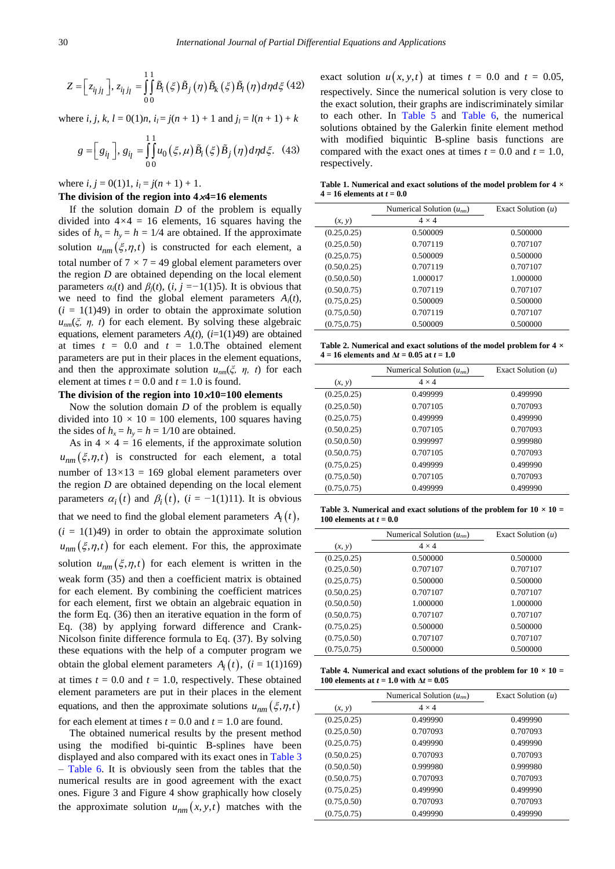$$
Z = \left[z_{ijj_l}\right], z_{ijj_l} = \int_0^1 \int_0^1 \tilde{B}_i(\xi) \tilde{B}_j(\eta) \tilde{B}_k(\xi) \tilde{B}_l(\eta) d\eta d\xi \tag{42}
$$

where *i*, *j*, *k*,  $l = 0(1)n$ ,  $i_l = j(n + 1) + 1$  and  $j_l = l(n + 1) + k$ 

$$
g = \left[g_{ij}\right], g_{ij} = \int_{00}^{11} u_0(\xi, \mu) \tilde{B}_i(\xi) \tilde{B}_j(\eta) d\eta d\xi.
$$
 (43)

where  $i, j = 0(1)1, i<sub>l</sub> = j(n + 1) + 1$ .

#### **The division of the region into 4**×**4=16 elements**

If the solution domain *D* of the problem is equally divided into  $4 \times 4 = 16$  elements, 16 squares having the sides of  $h_x = h_y = h = 1/4$  are obtained. If the approximate solution  $u_{nm}(\xi, \eta, t)$  is constructed for each element, a total number of  $7 \times 7 = 49$  global element parameters over the region *D* are obtained depending on the local element parameters  $\alpha_i(t)$  and  $\beta_i(t)$ ,  $(i, j = -1(1)5)$ . It is obvious that we need to find the global element parameters  $A_i(t)$ ,  $(i = 1(1)49)$  in order to obtain the approximate solution  $u_{nm}(\xi, \eta, t)$  for each element. By solving these algebraic equations, element parameters  $A_i(t)$ ,  $(i=1(1)49)$  are obtained at times  $t = 0.0$  and  $t = 1.0$ . The obtained element parameters are put in their places in the element equations, and then the approximate solution  $u_{nm}(\xi, \eta, t)$  for each element at times  $t = 0.0$  and  $t = 1.0$  is found.

#### **The division of the region into 10**×**10=100 elements**

Now the solution domain *D* of the problem is equally divided into  $10 \times 10 = 100$  elements, 100 squares having the sides of  $h_x = h_y = h = 1/10$  are obtained.

As in  $4 \times 4 = 16$  elements, if the approximate solution  $u_{nm}(\xi, \eta, t)$  is constructed for each element, a total number of  $13 \times 13 = 169$  global element parameters over the region *D* are obtained depending on the local element parameters  $\alpha_i(t)$  and  $\beta_i(t)$ ,  $(i = -1(1)11)$ . It is obvious that we need to find the global element parameters  $A_i(t)$ ,  $(i = 1(1)49)$  in order to obtain the approximate solution  $u_{nm}(\xi, \eta, t)$  for each element. For this, the approximate solution  $u_{nm}(\xi, \eta, t)$  for each element is written in the weak form (35) and then a coefficient matrix is obtained for each element. By combining the coefficient matrices for each element, first we obtain an algebraic equation in the form Eq. (36) then an iterative equation in the form of Eq. (38) by applying forward difference and Crank-Nicolson finite difference formula to Eq. (37). By solving these equations with the help of a computer program we obtain the global element parameters  $A_i(t)$ ,  $(i = 1(1)169)$ at times  $t = 0.0$  and  $t = 1.0$ , respectively. These obtained element parameters are put in their places in the element equations, and then the approximate solutions  $u_{nm}(\xi, \eta, t)$ for each element at times  $t = 0.0$  and  $t = 1.0$  are found.

The obtained numerical results by the present method using the modified bi-quintic B-splines have been displayed and also compared with its exact ones in [Table 3](#page-4-0) – [Table 6.](#page-5-0) It is obviously seen from the tables that the numerical results are in good agreement with the exact ones. Figure 3 and Figure 4 show graphically how closely the approximate solution  $u_{nm}(x, y, t)$  matches with the

exact solution  $u(x, y, t)$  at times  $t = 0.0$  and  $t = 0.05$ , respectively*.* Since the numerical solution is very close to the exact solution, their graphs are indiscriminately similar to each other. In [Table 5](#page-5-1) and [Table 6,](#page-5-0) the numerical solutions obtained by the Galerkin finite element method with modified biquintic B-spline basis functions are compared with the exact ones at times  $t = 0.0$  and  $t = 1.0$ , respectively.

**Table 1. Numerical and exact solutions of the model problem for 4** *×*   $4 = 16$  **elements** at  $t = 0.0$ 

|              | Numerical Solution $(u_{nm})$ | Exact Solution $(u)$ |
|--------------|-------------------------------|----------------------|
| (x, y)       | $4 \times 4$                  |                      |
| (0.25, 0.25) | 0.500009                      | 0.500000             |
| (0.25, 0.50) | 0.707119                      | 0.707107             |
| (0.25, 0.75) | 0.500009                      | 0.500000             |
| (0.50, 0.25) | 0.707119                      | 0.707107             |
| (0.50, 0.50) | 1.000017                      | 1.000000             |
| (0.50, 0.75) | 0.707119                      | 0.707107             |
| (0.75, 0.25) | 0.500009                      | 0.500000             |
| (0.75, 0.50) | 0.707119                      | 0.707107             |
| (0.75.0.75)  | 0.500009                      | 0.500000             |

**Table 2. Numerical and exact solutions of the model problem for 4** *×*   $4 = 16$  **elements and**  $\Delta t = 0.05$  **at**  $t = 1.0$ 

|              | Numerical Solution $(u_{nm})$ | Exact Solution $(u)$ |
|--------------|-------------------------------|----------------------|
| (x, y)       | $4 \times 4$                  |                      |
| (0.25, 0.25) | 0.499999                      | 0.499990             |
| (0.25, 0.50) | 0.707105                      | 0.707093             |
| (0.25, 0.75) | 0.499999                      | 0.499990             |
| (0.50, 0.25) | 0.707105                      | 0.707093             |
| (0.50, 0.50) | 0.999997                      | 0.999980             |
| (0.50, 0.75) | 0.707105                      | 0.707093             |
| (0.75, 0.25) | 0.499999                      | 0.499990             |
| (0.75, 0.50) | 0.707105                      | 0.707093             |
| (0.75, 0.75) | 0.499999                      | 0.499990             |

**Table 3. Numerical and exact solutions of the problem for**  $10 \times 10 =$ **100 elements at**  $t = 0.0$ 

<span id="page-4-0"></span>

|              | Numerical Solution $(u_{nm})$ | Exact Solution $(u)$ |
|--------------|-------------------------------|----------------------|
| (x, y)       | $4 \times 4$                  |                      |
| (0.25, 0.25) | 0.500000                      | 0.500000             |
| (0.25, 0.50) | 0.707107                      | 0.707107             |
| (0.25, 0.75) | 0.500000                      | 0.500000             |
| (0.50, 0.25) | 0.707107                      | 0.707107             |
| (0.50, 0.50) | 1.000000                      | 1.000000             |
| (0.50, 0.75) | 0.707107                      | 0.707107             |
| (0.75, 0.25) | 0.500000                      | 0.500000             |
| (0.75, 0.50) | 0.707107                      | 0.707107             |
| (0.75, 0.75) | 0.500000                      | 0.500000             |

**Table 4. Numerical and exact solutions of the problem for**  $10 \times 10 =$ **100 elements at**  $t = 1.0$  **with**  $\Delta t = 0.05$ 

|              | Numerical Solution $(u_{nm})$ | Exact Solution $(u)$ |
|--------------|-------------------------------|----------------------|
| (x, y)       | $4 \times 4$                  |                      |
| (0.25, 0.25) | 0.499990                      | 0.499990             |
| (0.25, 0.50) | 0.707093                      | 0.707093             |
| (0.25, 0.75) | 0.499990                      | 0.499990             |
| (0.50, 0.25) | 0.707093                      | 0.707093             |
| (0.50, 0.50) | 0.999980                      | 0.999980             |
| (0.50, 0.75) | 0.707093                      | 0.707093             |
| (0.75, 0.25) | 0.499990                      | 0.499990             |
| (0.75, 0.50) | 0.707093                      | 0.707093             |
| (0.75, 0.75) | 0.499990                      | 0.499990             |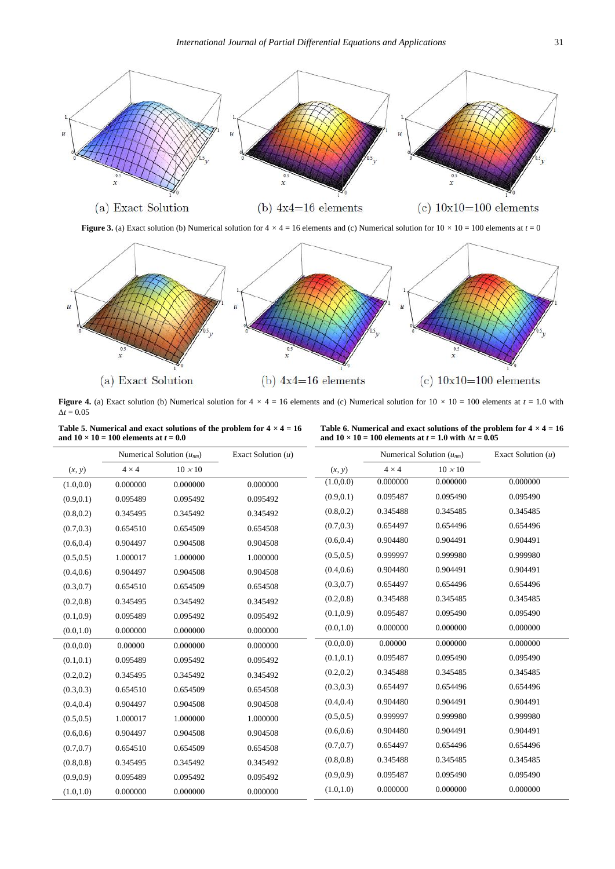

**Figure 3.** (a) Exact solution (b) Numerical solution for  $4 \times 4 = 16$  elements and (c) Numerical solution for  $10 \times 10 = 100$  elements at  $t = 0$ 



**Figure 4.** (a) Exact solution (b) Numerical solution for  $4 \times 4 = 16$  elements and (c) Numerical solution for  $10 \times 10 = 100$  elements at  $t = 1.0$  with  $Δt = 0.05$ 

| Table 5. Numerical and exact solutions of the problem for $4 \times 4 = 16$ |  |
|-----------------------------------------------------------------------------|--|
| and $10 \times 10 = 100$ elements at $t = 0.0$                              |  |

<span id="page-5-0"></span>

| Table 6. Numerical and exact solutions of the problem for $4 \times 4 = 16$ |  |
|-----------------------------------------------------------------------------|--|
| and $10 \times 10 = 100$ elements at $t = 1.0$ with $\Delta t = 0.05$       |  |

<span id="page-5-1"></span>

|            |              | Numerical Solution $(u_{nm})$ | Exact Solution $(u)$ |            | Numerical Solution $(u_{nm})$ |                | Exact Solution $(u)$ |
|------------|--------------|-------------------------------|----------------------|------------|-------------------------------|----------------|----------------------|
| (x, y)     | $4 \times 4$ | $10 \times 10$                |                      | (x, y)     | $4 \times 4$                  | $10 \times 10$ |                      |
| (1.0, 0.0) | 0.000000     | 0.000000                      | 0.000000             | (1.0, 0.0) | 0.000000                      | 0.000000       | 0.000000             |
| (0.9, 0.1) | 0.095489     | 0.095492                      | 0.095492             | (0.9, 0.1) | 0.095487                      | 0.095490       | 0.095490             |
| (0.8, 0.2) | 0.345495     | 0.345492                      | 0.345492             | (0.8, 0.2) | 0.345488                      | 0.345485       | 0.345485             |
| (0.7, 0.3) | 0.654510     | 0.654509                      | 0.654508             | (0.7, 0.3) | 0.654497                      | 0.654496       | 0.654496             |
| (0.6, 0.4) | 0.904497     | 0.904508                      | 0.904508             | (0.6, 0.4) | 0.904480                      | 0.904491       | 0.904491             |
| (0.5, 0.5) | 1.000017     | 1.000000                      | 1.000000             | (0.5, 0.5) | 0.999997                      | 0.999980       | 0.999980             |
| (0.4, 0.6) | 0.904497     | 0.904508                      | 0.904508             | (0.4, 0.6) | 0.904480                      | 0.904491       | 0.904491             |
| (0.3, 0.7) | 0.654510     | 0.654509                      | 0.654508             | (0.3, 0.7) | 0.654497                      | 0.654496       | 0.654496             |
| (0.2, 0.8) | 0.345495     | 0.345492                      | 0.345492             | (0.2, 0.8) | 0.345488                      | 0.345485       | 0.345485             |
| (0.1, 0.9) | 0.095489     | 0.095492                      | 0.095492             | (0.1, 0.9) | 0.095487                      | 0.095490       | 0.095490             |
| (0.0, 1.0) | 0.000000     | 0.000000                      | 0.000000             | (0.0, 1.0) | 0.000000                      | 0.000000       | 0.000000             |
| (0.0, 0.0) | 0.00000      | 0.000000                      | 0.000000             | (0.0, 0.0) | 0.00000                       | 0.000000       | 0.000000             |
| (0.1, 0.1) | 0.095489     | 0.095492                      | 0.095492             | (0.1, 0.1) | 0.095487                      | 0.095490       | 0.095490             |
| (0.2, 0.2) | 0.345495     | 0.345492                      | 0.345492             | (0.2, 0.2) | 0.345488                      | 0.345485       | 0.345485             |
| (0.3, 0.3) | 0.654510     | 0.654509                      | 0.654508             | (0.3, 0.3) | 0.654497                      | 0.654496       | 0.654496             |
| (0.4, 0.4) | 0.904497     | 0.904508                      | 0.904508             | (0.4, 0.4) | 0.904480                      | 0.904491       | 0.904491             |
| (0.5, 0.5) | 1.000017     | 1.000000                      | 1.000000             | (0.5, 0.5) | 0.999997                      | 0.999980       | 0.999980             |
| (0.6, 0.6) | 0.904497     | 0.904508                      | 0.904508             | (0.6, 0.6) | 0.904480                      | 0.904491       | 0.904491             |
| (0.7, 0.7) | 0.654510     | 0.654509                      | 0.654508             | (0.7, 0.7) | 0.654497                      | 0.654496       | 0.654496             |
| (0.8, 0.8) | 0.345495     | 0.345492                      | 0.345492             | (0.8, 0.8) | 0.345488                      | 0.345485       | 0.345485             |
| (0.9, 0.9) | 0.095489     | 0.095492                      | 0.095492             | (0.9, 0.9) | 0.095487                      | 0.095490       | 0.095490             |
| (1.0, 1.0) | 0.000000     | 0.000000                      | 0.000000             | (1.0, 1.0) | 0.000000                      | 0.000000       | 0.000000             |